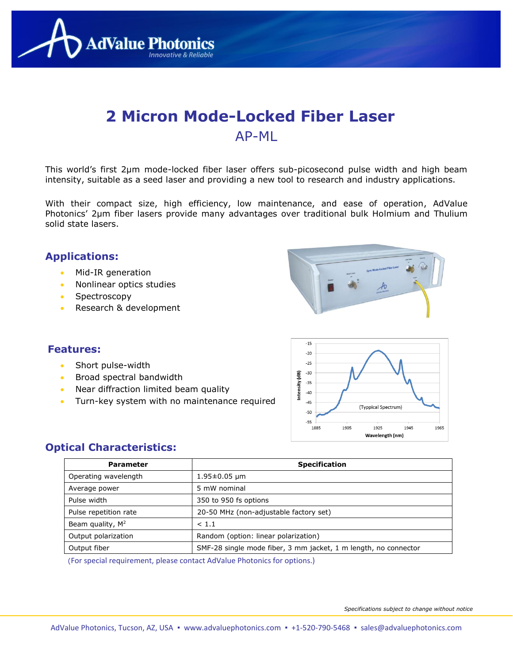

# **2 Micron Mode-Locked Fiber Laser** AP-ML

This world's first 2µm mode-locked fiber laser offers sub-picosecond pulse width and high beam intensity, suitable as a seed laser and providing a new tool to research and industry applications.

With their compact size, high efficiency, low maintenance, and ease of operation, AdValue Photonics' 2µm fiber lasers provide many advantages over traditional bulk Holmium and Thulium solid state lasers.

#### **Applications:**

- Mid-IR generation
- Nonlinear optics studies
- Spectroscopy
- Research & development



## **Features:**

- Short pulse-width
- Broad spectral bandwidth
- Near diffraction limited beam quality
- Turn-key system with no maintenance required



#### **Optical Characteristics:**

| <b>Parameter</b>      | <b>Specification</b>                                            |  |  |  |  |
|-----------------------|-----------------------------------------------------------------|--|--|--|--|
| Operating wavelength  | $1.95 \pm 0.05$ µm                                              |  |  |  |  |
| Average power         | 5 mW nominal                                                    |  |  |  |  |
| Pulse width           | 350 to 950 fs options                                           |  |  |  |  |
| Pulse repetition rate | 20-50 MHz (non-adjustable factory set)                          |  |  |  |  |
| Beam quality, $M^2$   | < 1.1                                                           |  |  |  |  |
| Output polarization   | Random (option: linear polarization)                            |  |  |  |  |
| Output fiber          | SMF-28 single mode fiber, 3 mm jacket, 1 m length, no connector |  |  |  |  |

(For special requirement, please contact AdValue Photonics for options.)